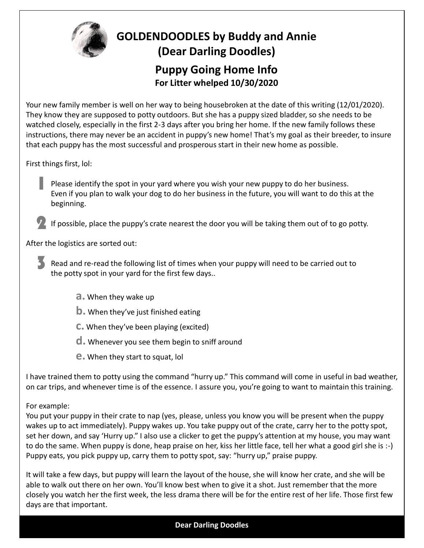

Your new family member is well on her way to being housebroken at the date of this writing (12/01/2020). They know they are supposed to potty outdoors. But she has a puppy sized bladder, so she needs to be watched closely, especially in the first 2-3 days after you bring her home. If the new family follows these instructions, there may never be an accident in puppy's new home! That's my goal as their breeder, to insure that each puppy has the most successful and prosperous start in their new home as possible.

First things first, lol:

- Please identify the spot in your yard where you wish your new puppy to do her business. Even if you plan to walk your dog to do her business in the future, you will want to do this at the beginning. 1
- If possible, place the puppy's crate nearest the door you will be taking them out of to go potty. 2

After the logistics are sorted out:

- Read and re-read the following list of times when your puppy will need to be carried out to the potty spot in your yard for the first few days.. 3
	- **a.** When they wake up
	- **b.** When they've just finished eating
	- **c.** When they've been playing (excited)
	- **d.** Whenever you see them begin to sniff around
	- **e.** When they start to squat, lol

I have trained them to potty using the command "hurry up." This command will come in useful in bad weather, on car trips, and whenever time is of the essence. I assure you, you're going to want to maintain this training.

## For example:

You put your puppy in their crate to nap (yes, please, unless you know you will be present when the puppy wakes up to act immediately). Puppy wakes up. You take puppy out of the crate, carry her to the potty spot, set her down, and say 'Hurry up." I also use a clicker to get the puppy's attention at my house, you may want to do the same. When puppy is done, heap praise on her, kiss her little face, tell her what a good girl she is :-) Puppy eats, you pick puppy up, carry them to potty spot, say: "hurry up," praise puppy.

It will take a few days, but puppy will learn the layout of the house, she will know her crate, and she will be able to walk out there on her own. You'll know best when to give it a shot. Just remember that the more closely you watch her the first week, the less drama there will be for the entire rest of her life. Those first few days are that important.

## **Dear Darling Doodles**